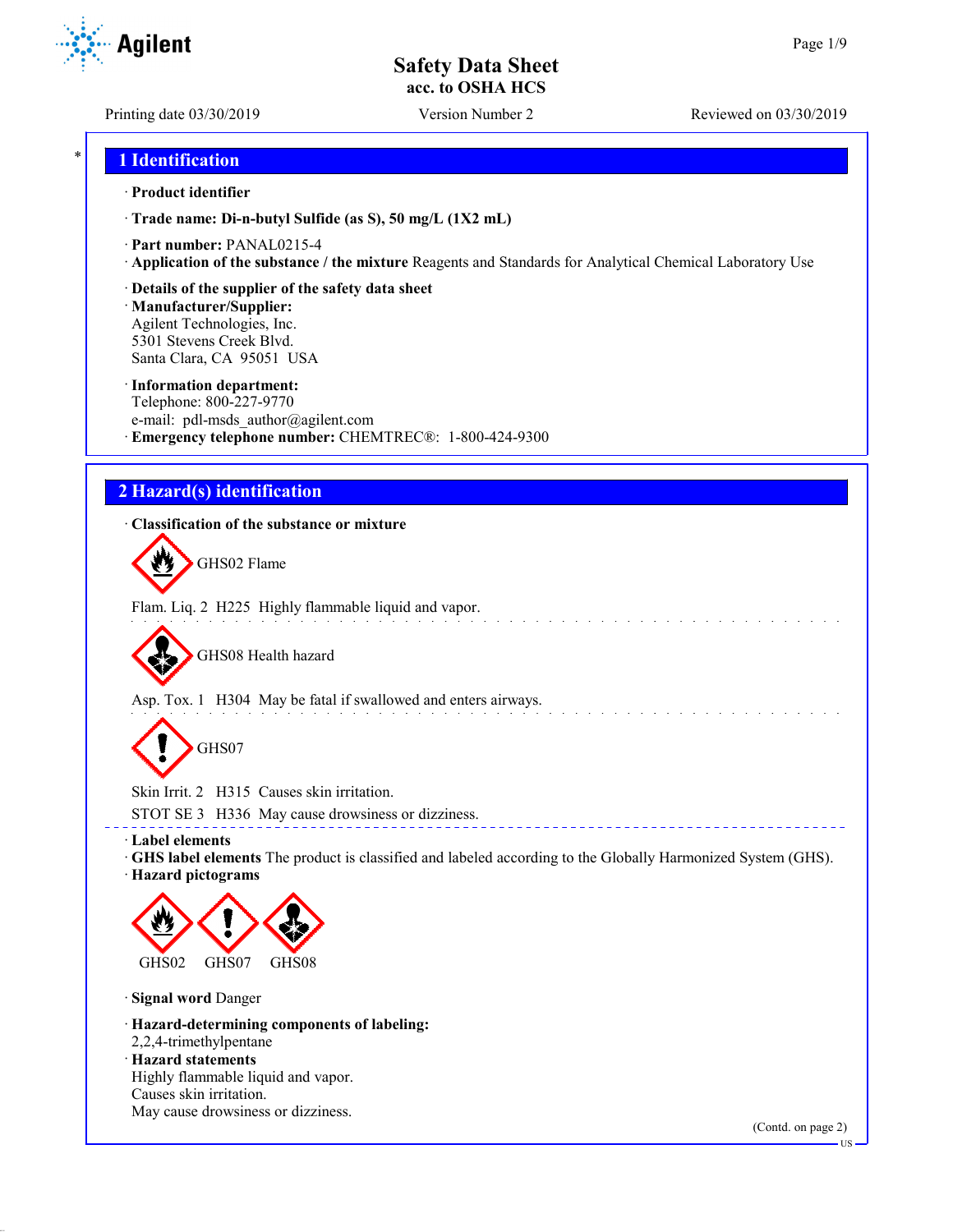Printing date 03/30/2019 Version Number 2 Reviewed on 03/30/2019

**Agilent** 

# \* **1 Identification**

## · **Product identifier**

· **Trade name: Di-n-butyl Sulfide (as S), 50 mg/L (1X2 mL)**

- · **Part number:** PANAL0215-4
- · **Application of the substance / the mixture** Reagents and Standards for Analytical Chemical Laboratory Use
- · **Details of the supplier of the safety data sheet**

· **Manufacturer/Supplier:** Agilent Technologies, Inc. 5301 Stevens Creek Blvd. Santa Clara, CA 95051 USA

## · **Information department:**

Telephone: 800-227-9770 e-mail: pdl-msds author@agilent.com · **Emergency telephone number:** CHEMTREC®: 1-800-424-9300

# **2 Hazard(s) identification**

## · **Classification of the substance or mixture**

GHS02 Flame

Flam. Liq. 2 H225 Highly flammable liquid and vapor.

GHS08 Health hazard

Asp. Tox. 1 H304 May be fatal if swallowed and enters airways.

GHS07

Skin Irrit. 2 H315 Causes skin irritation.

STOT SE 3 H336 May cause drowsiness or dizziness.

· **Label elements**

· **GHS label elements** The product is classified and labeled according to the Globally Harmonized System (GHS). · **Hazard pictograms**

\_\_\_\_\_\_\_\_\_\_\_\_\_\_\_\_\_\_\_\_\_\_\_\_\_\_\_\_\_\_\_



· **Signal word** Danger

· **Hazard-determining components of labeling:** 2,2,4-trimethylpentane · **Hazard statements**

Highly flammable liquid and vapor. Causes skin irritation. May cause drowsiness or dizziness.

(Contd. on page 2)

US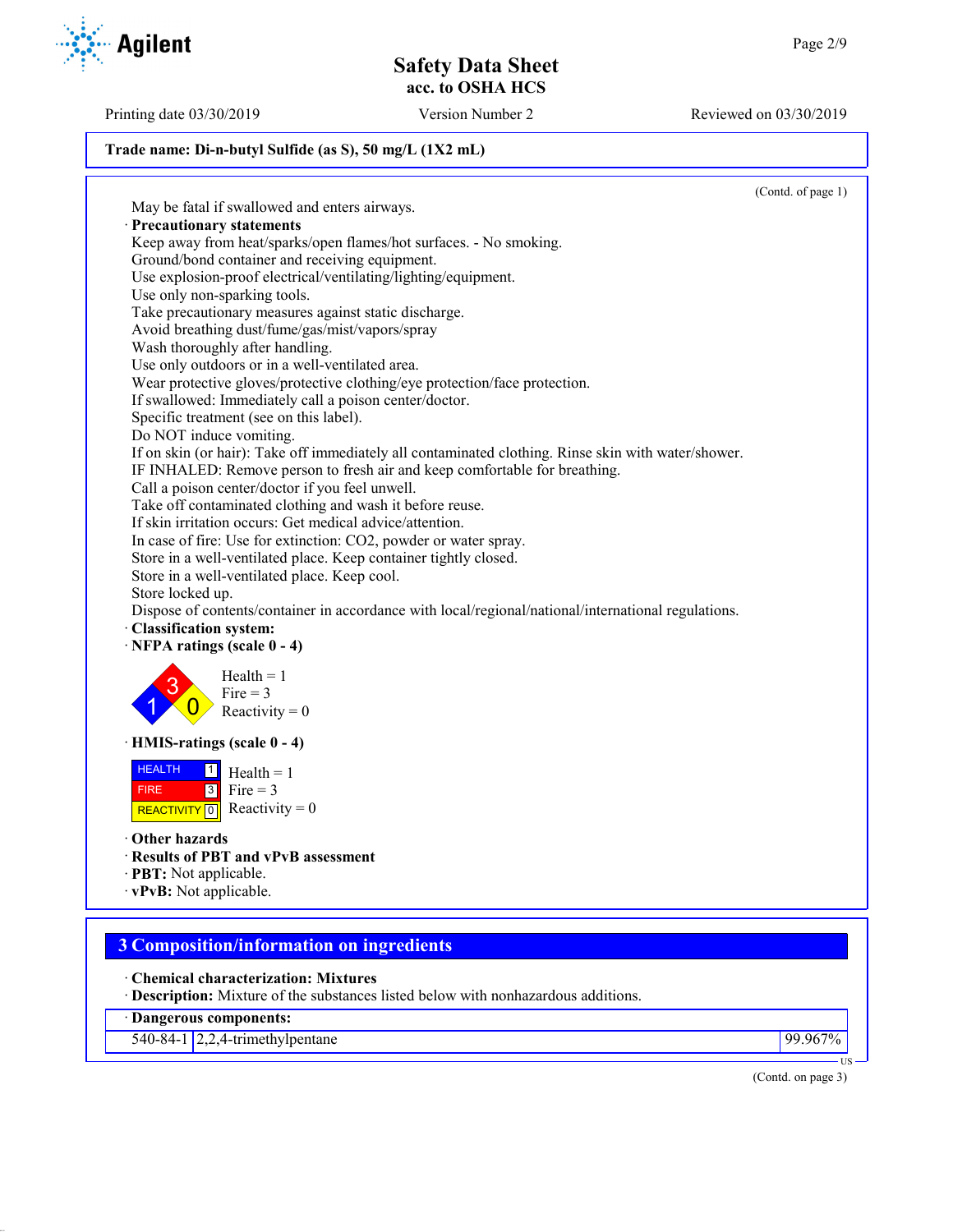Printing date 03/30/2019 Version Number 2 Reviewed on 03/30/2019

## **Trade name: Di-n-butyl Sulfide (as S), 50 mg/L (1X2 mL)**

(Contd. of page 1) May be fatal if swallowed and enters airways. · **Precautionary statements** Keep away from heat/sparks/open flames/hot surfaces. - No smoking. Ground/bond container and receiving equipment. Use explosion-proof electrical/ventilating/lighting/equipment. Use only non-sparking tools. Take precautionary measures against static discharge. Avoid breathing dust/fume/gas/mist/vapors/spray Wash thoroughly after handling. Use only outdoors or in a well-ventilated area. Wear protective gloves/protective clothing/eye protection/face protection. If swallowed: Immediately call a poison center/doctor. Specific treatment (see on this label). Do NOT induce vomiting. If on skin (or hair): Take off immediately all contaminated clothing. Rinse skin with water/shower. IF INHALED: Remove person to fresh air and keep comfortable for breathing. Call a poison center/doctor if you feel unwell. Take off contaminated clothing and wash it before reuse. If skin irritation occurs: Get medical advice/attention. In case of fire: Use for extinction: CO2, powder or water spray. Store in a well-ventilated place. Keep container tightly closed. Store in a well-ventilated place. Keep cool. Store locked up. Dispose of contents/container in accordance with local/regional/national/international regulations. · **Classification system:** · **NFPA ratings (scale 0 - 4)** 1 3  $\overline{0}$  $Health = 1$ Fire  $= 3$ Reactivity  $= 0$ · **HMIS-ratings (scale 0 - 4)** HEALTH FIRE REACTIVITY  $\boxed{0}$  Reactivity = 0  $\frac{1}{\Box}$  Health = 1  $3$  Fire = 3 · **Other hazards** · **Results of PBT and vPvB assessment** · **PBT:** Not applicable. · **vPvB:** Not applicable. **3 Composition/information on ingredients** · **Chemical characterization: Mixtures** · **Description:** Mixture of the substances listed below with nonhazardous additions.

· **Dangerous components:**

540-84-1 2,2,4-trimethylpentane 99.967%

(Contd. on page 3)

US

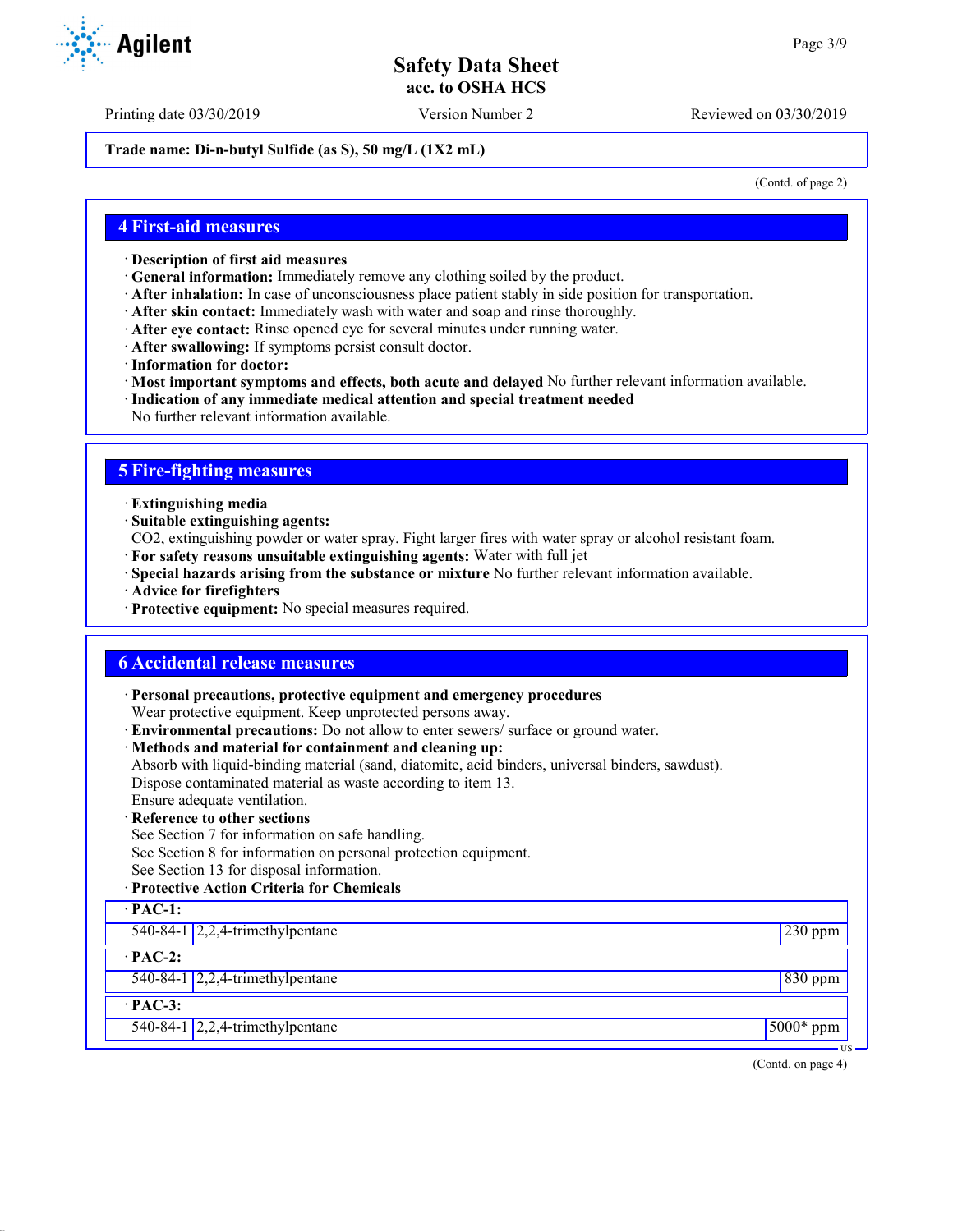Printing date 03/30/2019 Version Number 2 Reviewed on 03/30/2019

**Trade name: Di-n-butyl Sulfide (as S), 50 mg/L (1X2 mL)**

(Contd. of page 2)

## **4 First-aid measures**

- · **Description of first aid measures**
- · **General information:** Immediately remove any clothing soiled by the product.
- · **After inhalation:** In case of unconsciousness place patient stably in side position for transportation.
- · **After skin contact:** Immediately wash with water and soap and rinse thoroughly.
- · **After eye contact:** Rinse opened eye for several minutes under running water.
- · **After swallowing:** If symptoms persist consult doctor.
- · **Information for doctor:**
- · **Most important symptoms and effects, both acute and delayed** No further relevant information available.
- · **Indication of any immediate medical attention and special treatment needed**
- No further relevant information available.

## **5 Fire-fighting measures**

- · **Extinguishing media**
- · **Suitable extinguishing agents:**
- CO2, extinguishing powder or water spray. Fight larger fires with water spray or alcohol resistant foam.
- · **For safety reasons unsuitable extinguishing agents:** Water with full jet
- · **Special hazards arising from the substance or mixture** No further relevant information available.
- · **Advice for firefighters**
- · **Protective equipment:** No special measures required.

## **6 Accidental release measures**

· **Personal precautions, protective equipment and emergency procedures**

Wear protective equipment. Keep unprotected persons away.

- · **Environmental precautions:** Do not allow to enter sewers/ surface or ground water.
- · **Methods and material for containment and cleaning up:**
- Absorb with liquid-binding material (sand, diatomite, acid binders, universal binders, sawdust).

Dispose contaminated material as waste according to item 13.

- Ensure adequate ventilation.
- **Reference to other sections**
- See Section 7 for information on safe handling.
- See Section 8 for information on personal protection equipment.
- See Section 13 for disposal information.

## · **Protective Action Criteria for Chemicals**

| $\cdot$ PAC-1: |                                                  |              |
|----------------|--------------------------------------------------|--------------|
|                | 540-84-1 $\sqrt{2,2,4}$ -trimethylpentane        | $230$ ppm    |
| $\cdot$ PAC-2: |                                                  |              |
|                | 540-84-1 $\sqrt{2,2,4}$ -trimethylpentane        | $830$ ppm    |
| $\cdot$ PAC-3: |                                                  |              |
|                | 540-84-1 $\left  2,2,4\right $ -trimethylpentane | $15000*$ ppm |
|                |                                                  | US –         |

(Contd. on page 4)



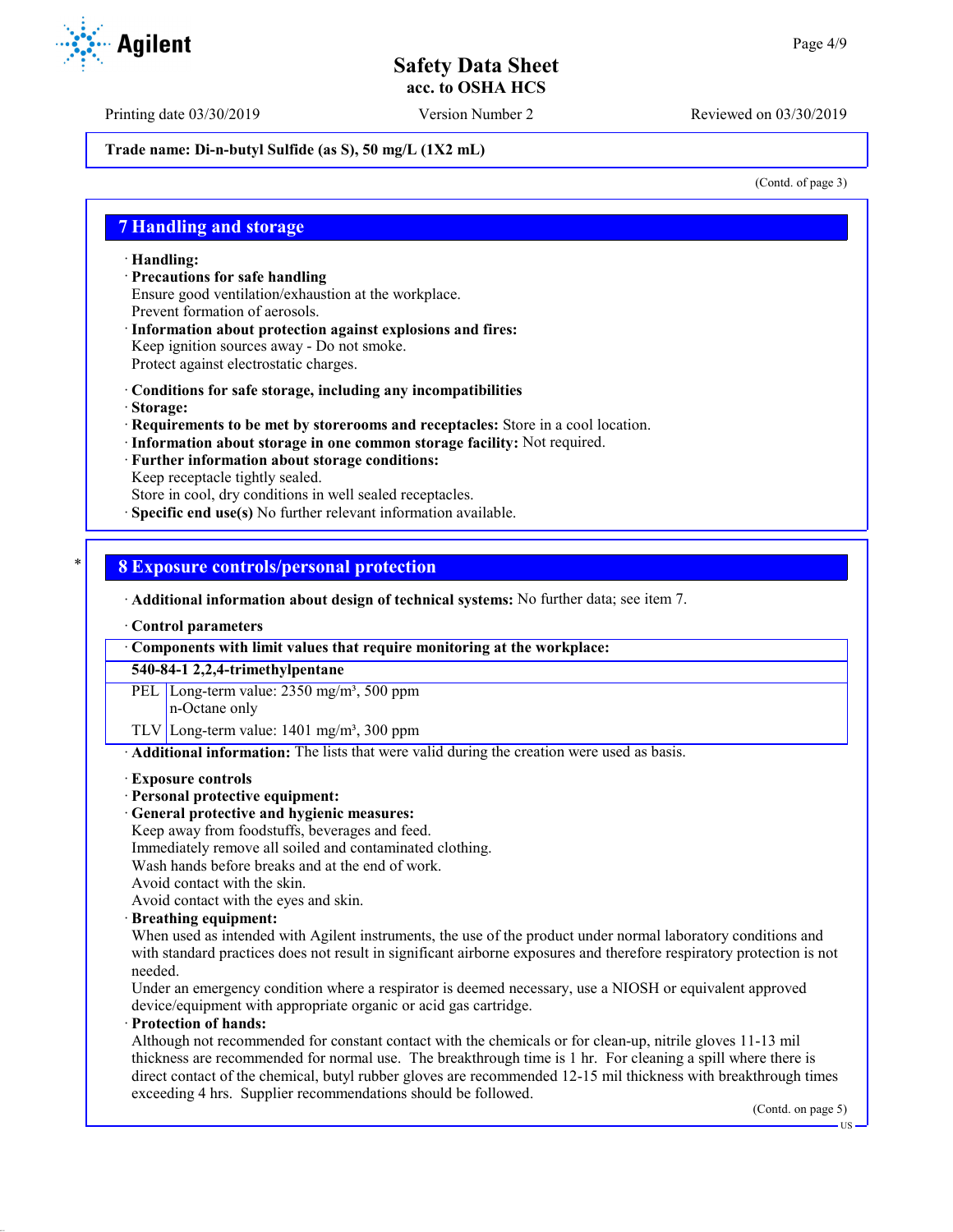Printing date 03/30/2019 Version Number 2 Reviewed on 03/30/2019

## **Trade name: Di-n-butyl Sulfide (as S), 50 mg/L (1X2 mL)**

(Contd. of page 3)

## **7 Handling and storage**

· **Handling:**

- · **Precautions for safe handling** Ensure good ventilation/exhaustion at the workplace. Prevent formation of aerosols.
- · **Information about protection against explosions and fires:** Keep ignition sources away - Do not smoke. Protect against electrostatic charges.
- · **Conditions for safe storage, including any incompatibilities**
- · **Storage:**
- · **Requirements to be met by storerooms and receptacles:** Store in a cool location.
- · **Information about storage in one common storage facility:** Not required.
- · **Further information about storage conditions:**
- Keep receptacle tightly sealed.

Store in cool, dry conditions in well sealed receptacles.

**Specific end use(s)** No further relevant information available.

## \* **8 Exposure controls/personal protection**

· **Additional information about design of technical systems:** No further data; see item 7.

· **Control parameters**

· **Components with limit values that require monitoring at the workplace:**

**540-84-1 2,2,4-trimethylpentane**

PEL Long-term value: 2350 mg/m<sup>3</sup>, 500 ppm n-Octane only

TLV Long-term value:  $1401 \text{ mg/m}^3$ , 300 ppm

· **Additional information:** The lists that were valid during the creation were used as basis.

### · **Exposure controls**

## · **Personal protective equipment:**

· **General protective and hygienic measures:**

Keep away from foodstuffs, beverages and feed.

- Immediately remove all soiled and contaminated clothing.
- Wash hands before breaks and at the end of work.
- Avoid contact with the skin.

Avoid contact with the eyes and skin.

### · **Breathing equipment:**

When used as intended with Agilent instruments, the use of the product under normal laboratory conditions and with standard practices does not result in significant airborne exposures and therefore respiratory protection is not needed.

Under an emergency condition where a respirator is deemed necessary, use a NIOSH or equivalent approved device/equipment with appropriate organic or acid gas cartridge.

## · **Protection of hands:**

Although not recommended for constant contact with the chemicals or for clean-up, nitrile gloves 11-13 mil thickness are recommended for normal use. The breakthrough time is 1 hr. For cleaning a spill where there is direct contact of the chemical, butyl rubber gloves are recommended 12-15 mil thickness with breakthrough times exceeding 4 hrs. Supplier recommendations should be followed.

(Contd. on page 5)

US

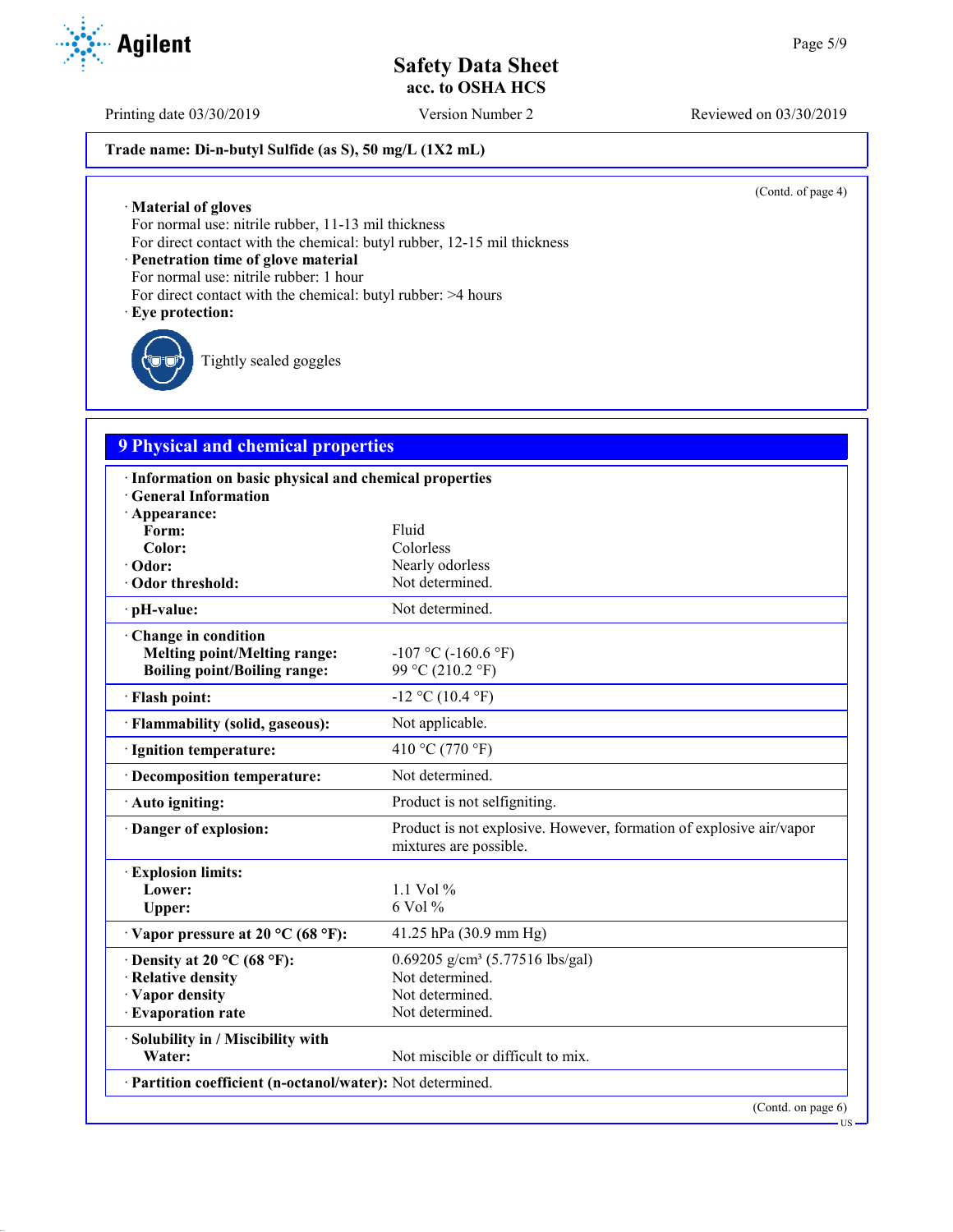Printing date 03/30/2019 Version Number 2 Reviewed on 03/30/2019

## **Trade name: Di-n-butyl Sulfide (as S), 50 mg/L (1X2 mL)**

(Contd. of page 4)

· **Material of gloves**

For normal use: nitrile rubber, 11-13 mil thickness

For direct contact with the chemical: butyl rubber, 12-15 mil thickness

· **Penetration time of glove material**

For normal use: nitrile rubber: 1 hour

For direct contact with the chemical: butyl rubber: >4 hours

· **Eye protection:**

Tightly sealed goggles

# **9 Physical and chemical properties**

| · Information on basic physical and chemical properties    |                                                                                               |
|------------------------------------------------------------|-----------------------------------------------------------------------------------------------|
| <b>General Information</b>                                 |                                                                                               |
| · Appearance:                                              |                                                                                               |
| Form:                                                      | Fluid                                                                                         |
| Color:                                                     | Colorless                                                                                     |
| · Odor:                                                    | Nearly odorless                                                                               |
| · Odor threshold:                                          | Not determined.                                                                               |
| · pH-value:                                                | Not determined.                                                                               |
| Change in condition                                        |                                                                                               |
| <b>Melting point/Melting range:</b>                        | $-107$ °C ( $-160.6$ °F)                                                                      |
| <b>Boiling point/Boiling range:</b>                        | 99 °C (210.2 °F)                                                                              |
| · Flash point:                                             | $-12$ °C (10.4 °F)                                                                            |
| · Flammability (solid, gaseous):                           | Not applicable.                                                                               |
| · Ignition temperature:                                    | 410 °C (770 °F)                                                                               |
| · Decomposition temperature:                               | Not determined.                                                                               |
| · Auto igniting:                                           | Product is not selfigniting.                                                                  |
| Danger of explosion:                                       | Product is not explosive. However, formation of explosive air/vapor<br>mixtures are possible. |
| <b>Explosion limits:</b>                                   |                                                                                               |
| Lower:                                                     | 1.1 Vol $%$                                                                                   |
| Upper:                                                     | 6 Vol %                                                                                       |
| $\cdot$ Vapor pressure at 20 °C (68 °F):                   | 41.25 hPa (30.9 mm Hg)                                                                        |
| $\cdot$ Density at 20 °C (68 °F):                          | 0.69205 g/cm <sup>3</sup> (5.77516 lbs/gal)                                                   |
| · Relative density                                         | Not determined.                                                                               |
| · Vapor density                                            | Not determined.                                                                               |
| · Evaporation rate                                         | Not determined.                                                                               |
| · Solubility in / Miscibility with                         |                                                                                               |
| Water:                                                     | Not miscible or difficult to mix.                                                             |
| · Partition coefficient (n-octanol/water): Not determined. |                                                                                               |
|                                                            | (Contd. on page 6)                                                                            |

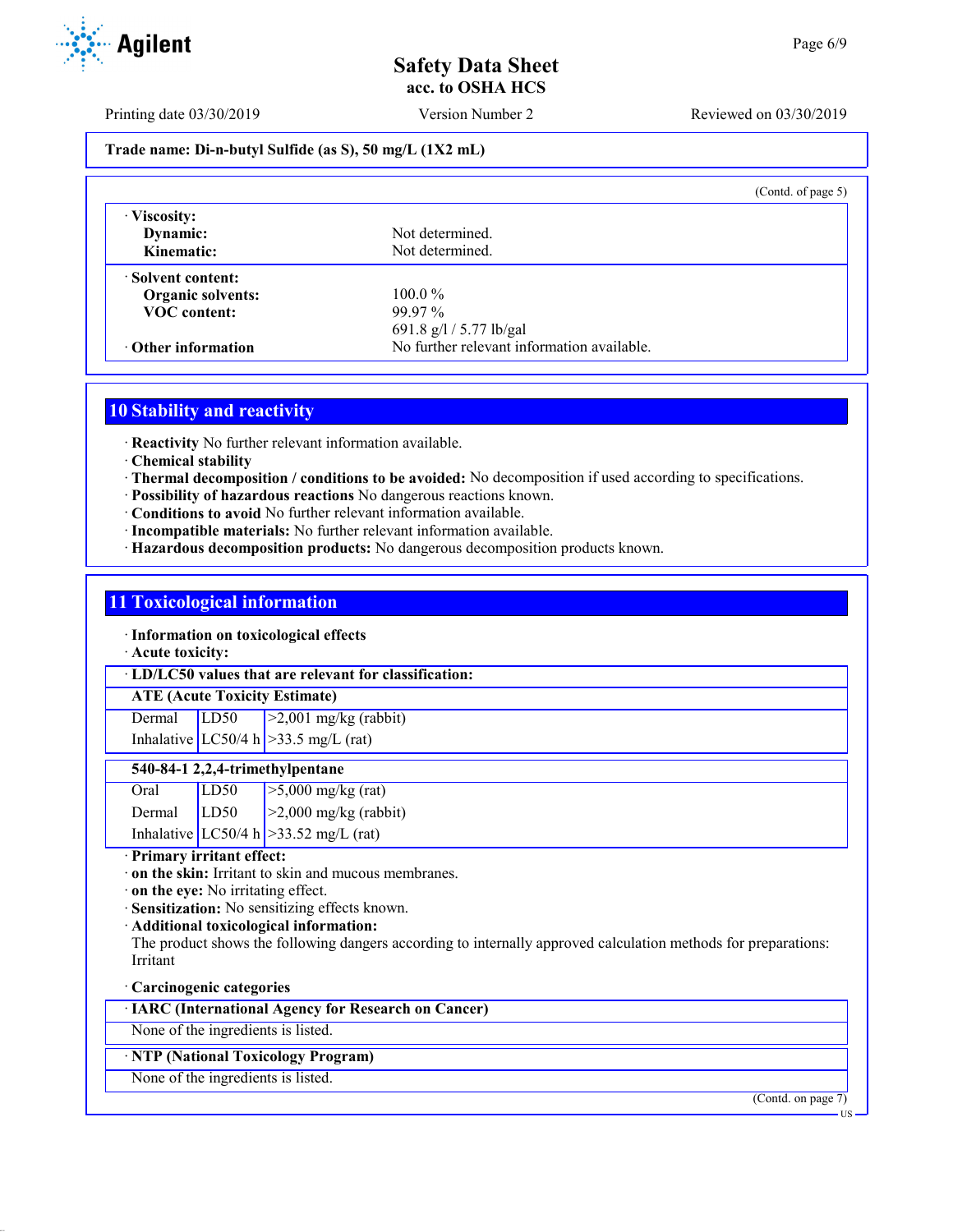Printing date 03/30/2019 Version Number 2 Reviewed on 03/30/2019

## **Trade name: Di-n-butyl Sulfide (as S), 50 mg/L (1X2 mL)**

|                           | (Contd. of page $5$ )                      |  |
|---------------------------|--------------------------------------------|--|
| · Viscosity:              |                                            |  |
| Dynamic:                  | Not determined.                            |  |
| Kinematic:                | Not determined.                            |  |
| · Solvent content:        |                                            |  |
| <b>Organic solvents:</b>  | $100.0\%$                                  |  |
| <b>VOC</b> content:       | $99.97\%$                                  |  |
|                           | 691.8 g/l / 5.77 lb/gal                    |  |
| $\cdot$ Other information | No further relevant information available. |  |

# **10 Stability and reactivity**

· **Reactivity** No further relevant information available.

- · **Chemical stability**
- · **Thermal decomposition / conditions to be avoided:** No decomposition if used according to specifications.
- · **Possibility of hazardous reactions** No dangerous reactions known.
- · **Conditions to avoid** No further relevant information available.
- · **Incompatible materials:** No further relevant information available.
- · **Hazardous decomposition products:** No dangerous decomposition products known.

## **11 Toxicological information**

· **Information on toxicological effects**

· **Acute toxicity:**

· **LD/LC50 values that are relevant for classification:**

# **ATE (Acute Toxicity Estimate)**

Dermal LD50 >2,001 mg/kg (rabbit) Inhalative  $LC50/4$  h  $>33.5$  mg/L (rat)

## **540-84-1 2,2,4-trimethylpentane**

| Oral          | LD50 | $>5,000$ mg/kg (rat)                     |
|---------------|------|------------------------------------------|
| Dermal $LD50$ |      | $\vert$ >2,000 mg/kg (rabbit)            |
|               |      | Inhalative LC50/4 h $>$ 33.52 mg/L (rat) |

· **Primary irritant effect:**

- · **on the skin:** Irritant to skin and mucous membranes.
- · **on the eye:** No irritating effect.
- · **Sensitization:** No sensitizing effects known.
- · **Additional toxicological information:**

The product shows the following dangers according to internally approved calculation methods for preparations: Irritant

### · **Carcinogenic categories**

· **IARC (International Agency for Research on Cancer)**

None of the ingredients is listed.

## · **NTP (National Toxicology Program)**

None of the ingredients is listed.



US

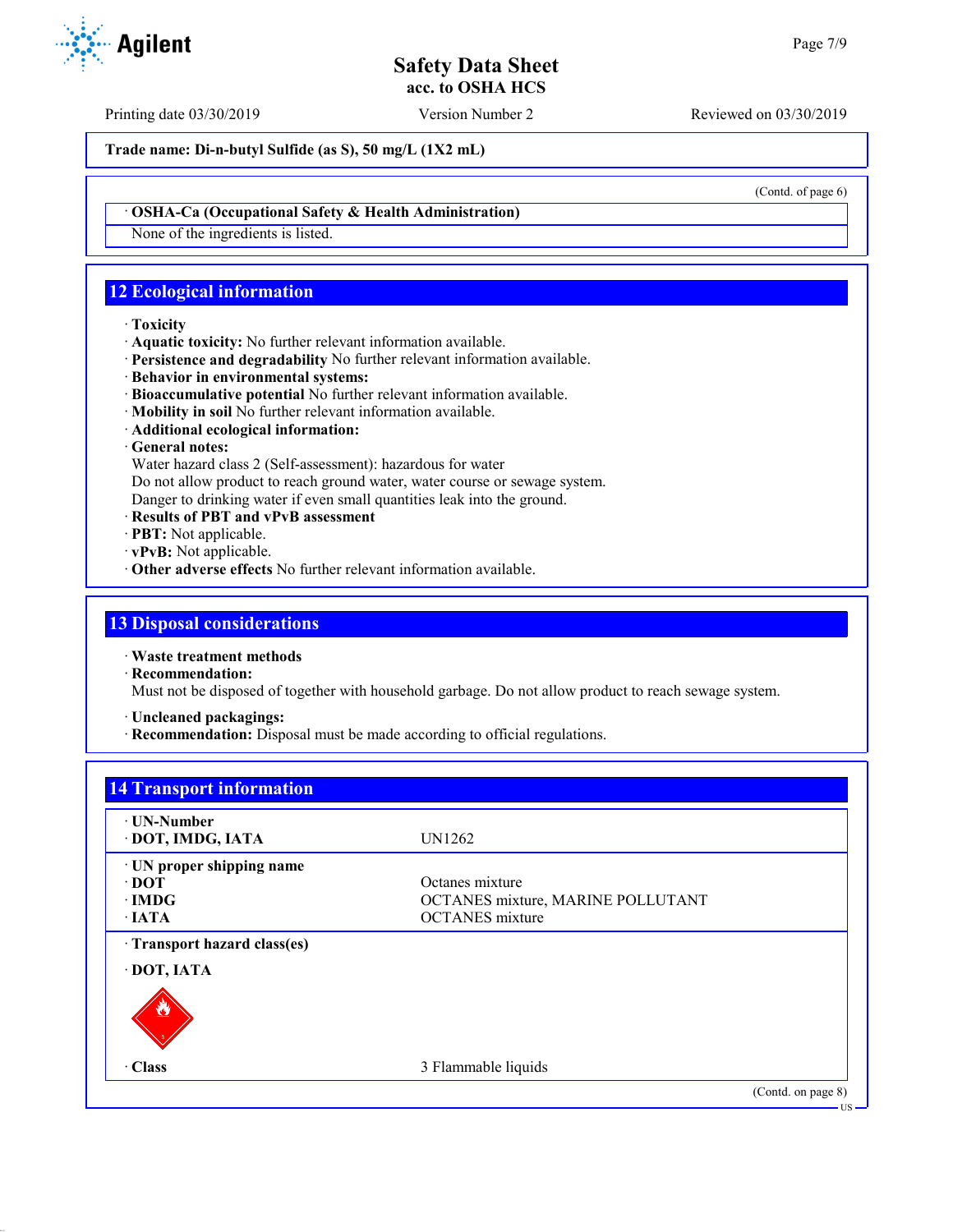Printing date 03/30/2019 Version Number 2 Reviewed on 03/30/2019

**Trade name: Di-n-butyl Sulfide (as S), 50 mg/L (1X2 mL)**

(Contd. of page 6)

## · **OSHA-Ca (Occupational Safety & Health Administration)**

None of the ingredients is listed.

# **12 Ecological information**

## · **Toxicity**

- · **Aquatic toxicity:** No further relevant information available.
- · **Persistence and degradability** No further relevant information available.
- · **Behavior in environmental systems:**
- · **Bioaccumulative potential** No further relevant information available.
- · **Mobility in soil** No further relevant information available.
- · **Additional ecological information:**

## · **General notes:**

Water hazard class 2 (Self-assessment): hazardous for water

Do not allow product to reach ground water, water course or sewage system.

Danger to drinking water if even small quantities leak into the ground.

- · **Results of PBT and vPvB assessment**
- · **PBT:** Not applicable.
- · **vPvB:** Not applicable.
- · **Other adverse effects** No further relevant information available.

## **13 Disposal considerations**

· **Waste treatment methods**

· **Recommendation:**

Must not be disposed of together with household garbage. Do not allow product to reach sewage system.

· **Uncleaned packagings:**

· **Recommendation:** Disposal must be made according to official regulations.

| ⋅ UN-Number                |                                   |  |
|----------------------------|-----------------------------------|--|
| · DOT, IMDG, IATA          | UN1262                            |  |
| · UN proper shipping name  |                                   |  |
| $\cdot$ DOT                | Octanes mixture                   |  |
| $\cdot$ IMDG               | OCTANES mixture, MARINE POLLUTANT |  |
| $\cdot$ IATA               | <b>OCTANES</b> mixture            |  |
| Transport hazard class(es) |                                   |  |
| · DOT, IATA                |                                   |  |
|                            |                                   |  |
| · Class                    | 3 Flammable liquids               |  |

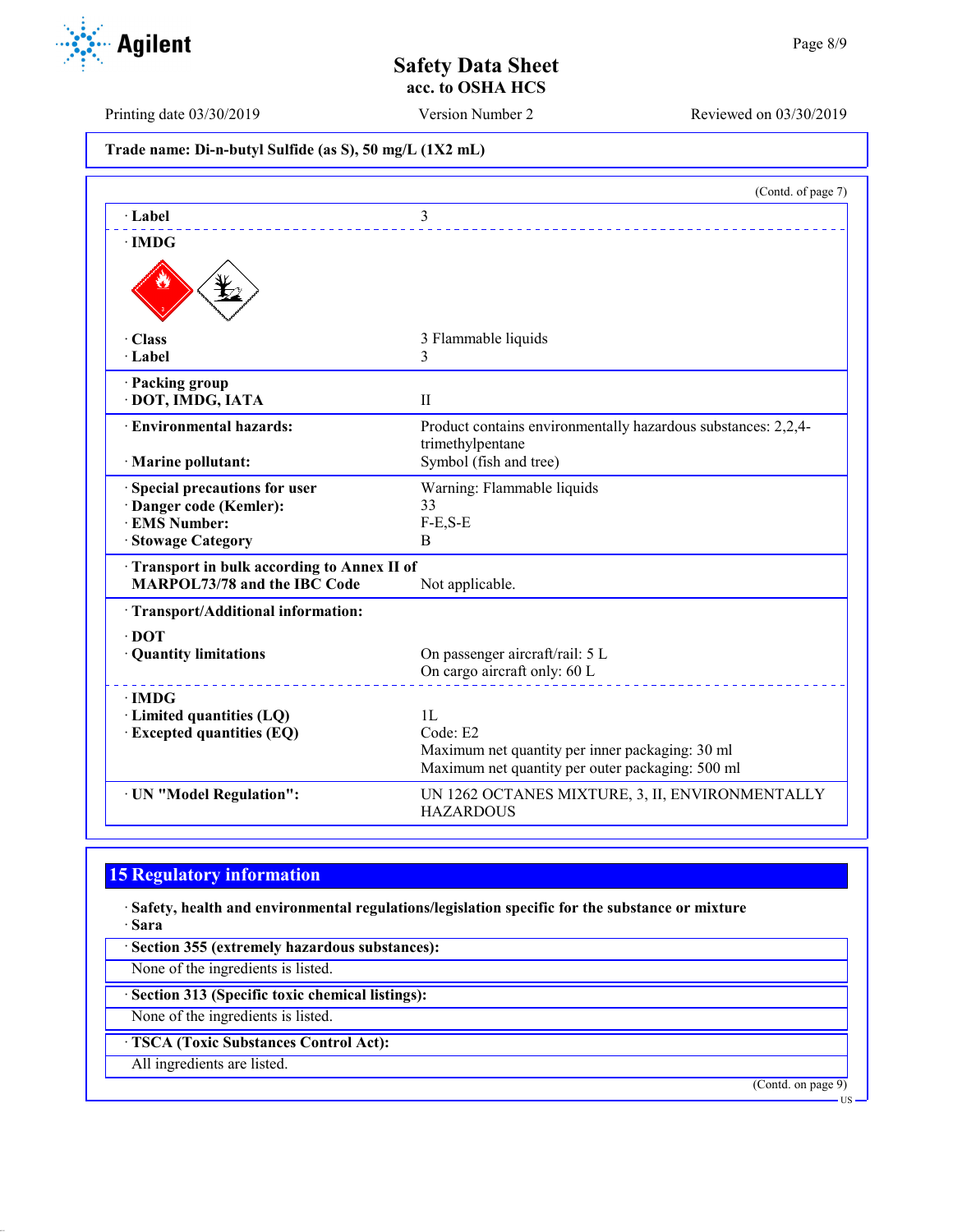Printing date 03/30/2019 Version Number 2 Reviewed on 03/30/2019

**Trade name: Di-n-butyl Sulfide (as S), 50 mg/L (1X2 mL)**

|                                                   | (Contd. of page 7)                                                                |
|---------------------------------------------------|-----------------------------------------------------------------------------------|
| · Label                                           | 3                                                                                 |
| $\cdot$ IMDG                                      |                                                                                   |
|                                                   |                                                                                   |
| $\cdot$ Class                                     | 3 Flammable liquids                                                               |
| $\cdot$ Label                                     | 3                                                                                 |
| · Packing group                                   |                                                                                   |
| · DOT, IMDG, IATA                                 | $\mathbf{H}$                                                                      |
| · Environmental hazards:                          | Product contains environmentally hazardous substances: 2,2,4-<br>trimethylpentane |
| · Marine pollutant:                               | Symbol (fish and tree)                                                            |
| Special precautions for user                      | Warning: Flammable liquids                                                        |
| · Danger code (Kemler):                           | 33                                                                                |
| · EMS Number:                                     | $F-E, S-E$                                                                        |
| · Stowage Category                                | B                                                                                 |
| <b>Transport in bulk according to Annex II of</b> |                                                                                   |
| <b>MARPOL73/78 and the IBC Code</b>               | Not applicable.                                                                   |
| · Transport/Additional information:               |                                                                                   |
| $\cdot$ DOT                                       |                                                                                   |
| · Quantity limitations                            | On passenger aircraft/rail: 5 L                                                   |
|                                                   | On cargo aircraft only: 60 L                                                      |
| $\cdot$ IMDG                                      |                                                                                   |
| · Limited quantities (LQ)                         | 1L                                                                                |
| <b>Excepted quantities (EQ)</b>                   | Code: E2                                                                          |
|                                                   | Maximum net quantity per inner packaging: 30 ml                                   |
|                                                   | Maximum net quantity per outer packaging: 500 ml                                  |
| · UN "Model Regulation":                          | UN 1262 OCTANES MIXTURE, 3, II, ENVIRONMENTALLY<br><b>HAZARDOUS</b>               |

# **15 Regulatory information**

· **Safety, health and environmental regulations/legislation specific for the substance or mixture** · **Sara**

· **Section 355 (extremely hazardous substances):**

None of the ingredients is listed.

· **Section 313 (Specific toxic chemical listings):**

None of the ingredients is listed.

· **TSCA (Toxic Substances Control Act):**

All ingredients are listed.

(Contd. on page 9)



US